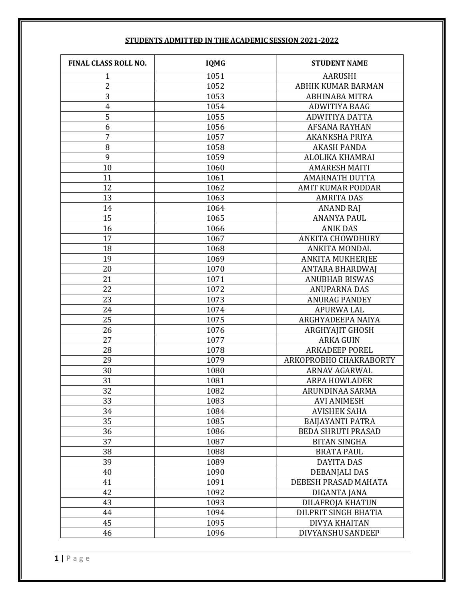| FINAL CLASS ROLL NO. | <b>IQMG</b>  | <b>STUDENT NAME</b>       |
|----------------------|--------------|---------------------------|
| $\mathbf{1}$         | 1051         | <b>AARUSHI</b>            |
| $\overline{c}$       | 1052         | ABHIK KUMAR BARMAN        |
| $\overline{3}$       | 1053         | <b>ABHINABA MITRA</b>     |
| $\overline{4}$       | 1054         | ADWITIYA BAAG             |
| 5                    | 1055         | ADWITIYA DATTA            |
| 6                    | 1056         | <b>AFSANA RAYHAN</b>      |
| $\overline{7}$       | 1057         | <b>AKANKSHA PRIYA</b>     |
| 8                    | 1058         | <b>AKASH PANDA</b>        |
| 9                    | 1059         | ALOLIKA KHAMRAI           |
| 10                   | 1060         | <b>AMARESH MAITI</b>      |
| 11                   | 1061         | <b>AMARNATH DUTTA</b>     |
| 12                   | 1062         | <b>AMIT KUMAR PODDAR</b>  |
| 13                   | 1063         | <b>AMRITA DAS</b>         |
| 14                   | 1064         | <b>ANAND RAJ</b>          |
| 15                   | 1065         | <b>ANANYA PAUL</b>        |
| 16                   | 1066         | <b>ANIK DAS</b>           |
| 17                   | 1067         | <b>ANKITA CHOWDHURY</b>   |
| 18                   | 1068         | <b>ANKITA MONDAL</b>      |
| 19                   | 1069         | <b>ANKITA MUKHERJEE</b>   |
| 20                   | 1070         | <b>ANTARA BHARDWAJ</b>    |
| 21                   | 1071         | <b>ANUBHAB BISWAS</b>     |
| 22                   | 1072         | <b>ANUPARNA DAS</b>       |
| 23                   | 1073         | <b>ANURAG PANDEY</b>      |
| 24                   | 1074         | <b>APURWA LAL</b>         |
| 25                   | 1075         | ARGHYADEEPA NAIYA         |
| 26                   | 1076         | <b>ARGHYAJIT GHOSH</b>    |
| 27                   | 1077         | <b>ARKA GUIN</b>          |
| 28                   | 1078         | <b>ARKADEEP POREL</b>     |
| 29                   | 1079         | ARKOPROBHO CHAKRABORTY    |
| 30                   | 1080         | <b>ARNAV AGARWAL</b>      |
| 31                   | 1081         | <b>ARPA HOWLADER</b>      |
| 32                   | 1082         | ARUNDINAA SARMA           |
| 33                   | 1083         | <b>AVI ANIMESH</b>        |
| 34                   | 1084         | <b>AVISHEK SAHA</b>       |
| 35                   | 1085         | <b>BAIJAYANTI PATRA</b>   |
| 36                   | 1086         | <b>BEDA SHRUTI PRASAD</b> |
| 37                   | 1087         | <b>BITAN SINGHA</b>       |
| 38                   | 1088         | <b>BRATA PAUL</b>         |
| 39                   | 1089         | <b>DAYITA DAS</b>         |
| 40<br>41             | 1090<br>1091 | <b>DEBANJALI DAS</b>      |
|                      |              | DEBESH PRASAD MAHATA      |
| 42                   | 1092         | DIGANTA JANA              |
| 43                   | 1093         | DILAFROJA KHATUN          |
| 44<br>45             | 1094         | DILPRIT SINGH BHATIA      |
|                      | 1095         | DIVYA KHAITAN             |
| 46                   | 1096         | DIVYANSHU SANDEEP         |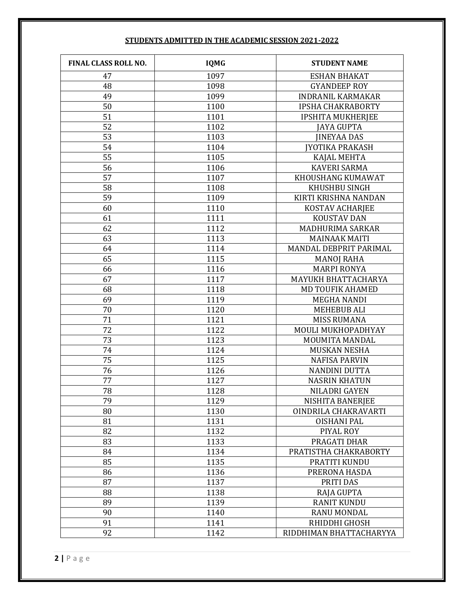| FINAL CLASS ROLL NO. | <b>IQMG</b> | <b>STUDENT NAME</b>      |
|----------------------|-------------|--------------------------|
| 47                   | 1097        | <b>ESHAN BHAKAT</b>      |
| 48                   | 1098        | <b>GYANDEEP ROY</b>      |
| 49                   | 1099        | <b>INDRANIL KARMAKAR</b> |
| 50                   | 1100        | <b>IPSHA CHAKRABORTY</b> |
| 51                   | 1101        | <b>IPSHITA MUKHERJEE</b> |
| 52                   | 1102        | <b>JAYA GUPTA</b>        |
| 53                   | 1103        | <b>JINEYAA DAS</b>       |
| 54                   | 1104        | <b>JYOTIKA PRAKASH</b>   |
| 55                   | 1105        | KAJAL MEHTA              |
| 56                   | 1106        | <b>KAVERI SARMA</b>      |
| 57                   | 1107        | KHOUSHANG KUMAWAT        |
| 58                   | 1108        | KHUSHBU SINGH            |
| 59                   | 1109        | KIRTI KRISHNA NANDAN     |
| 60                   | 1110        | <b>KOSTAV ACHARJEE</b>   |
| 61                   | 1111        | <b>KOUSTAV DAN</b>       |
| 62                   | 1112        | MADHURIMA SARKAR         |
| 63                   | 1113        | <b>MAINAAK MAITI</b>     |
| 64                   | 1114        | MANDAL DEBPRIT PARIMAL   |
| 65                   | 1115        | <b>MANOJ RAHA</b>        |
| 66                   | 1116        | <b>MARPI RONYA</b>       |
| 67                   | 1117        | MAYUKH BHATTACHARYA      |
| 68                   | 1118        | <b>MD TOUFIK AHAMED</b>  |
| 69                   | 1119        | <b>MEGHA NANDI</b>       |
| 70                   | 1120        | <b>MEHEBUB ALI</b>       |
| 71                   | 1121        | <b>MISS RUMANA</b>       |
| 72                   | 1122        | MOULI MUKHOPADHYAY       |
| 73                   | 1123        | MOUMITA MANDAL           |
| 74                   | 1124        | <b>MUSKAN NESHA</b>      |
| 75                   | 1125        | <b>NAFISA PARVIN</b>     |
| 76                   | 1126        | <b>NANDINI DUTTA</b>     |
| 77                   | 1127        | <b>NASRIN KHATUN</b>     |
| 78                   | 1128        | NILADRI GAYEN            |
| 79                   | 1129        | NISHITA BANERJEE         |
| 80                   | 1130        | OINDRILA CHAKRAVARTI     |
| 81                   | 1131        | <b>OISHANI PAL</b>       |
| 82                   | 1132        | PIYAL ROY                |
| 83                   | 1133        | PRAGATI DHAR             |
| 84                   | 1134        | PRATISTHA CHAKRABORTY    |
| 85                   | 1135        | PRATITI KUNDU            |
| 86                   | 1136        | PRERONA HASDA            |
| 87                   | 1137        | PRITI DAS                |
| 88                   | 1138        | <b>RAJA GUPTA</b>        |
| 89                   | 1139        | <b>RANIT KUNDU</b>       |
| 90                   | 1140        | RANU MONDAL              |
| 91                   | 1141        | RHIDDHI GHOSH            |
| 92                   | 1142        | RIDDHIMAN BHATTACHARYYA  |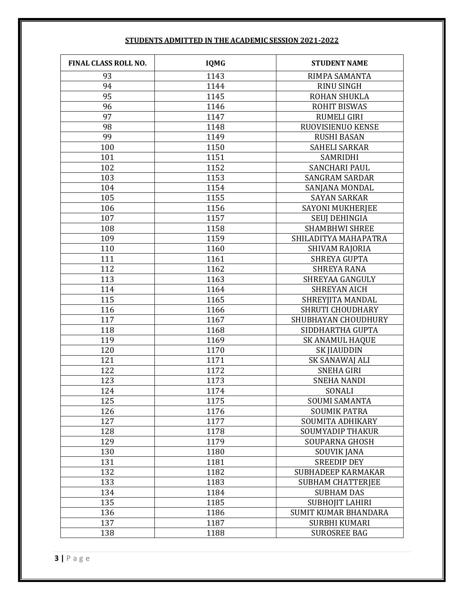| FINAL CLASS ROLL NO. | <b>IQMG</b> | <b>STUDENT NAME</b>       |
|----------------------|-------------|---------------------------|
| 93                   | 1143        | RIMPA SAMANTA             |
| 94                   | 1144        | <b>RINU SINGH</b>         |
| 95                   | 1145        | ROHAN SHUKLA              |
| 96                   | 1146        | <b>ROHIT BISWAS</b>       |
| 97                   | 1147        | <b>RUMELI GIRI</b>        |
| 98                   | 1148        | RUOVISIENUO KENSE         |
| 99                   | 1149        | <b>RUSHI BASAN</b>        |
| 100                  | 1150        | <b>SAHELI SARKAR</b>      |
| 101                  | 1151        | SAMRIDHI                  |
| 102                  | 1152        | <b>SANCHARI PAUL</b>      |
| 103                  | 1153        | <b>SANGRAM SARDAR</b>     |
| 104                  | 1154        | SANJANA MONDAL            |
| 105                  | 1155        | <b>SAYAN SARKAR</b>       |
| 106                  | 1156        | <b>SAYONI MUKHERJEE</b>   |
| 107                  | 1157        | <b>SEUJ DEHINGIA</b>      |
| 108                  | 1158        | <b>SHAMBHWI SHREE</b>     |
| 109                  | 1159        | SHILADITYA MAHAPATRA      |
| 110                  | 1160        | SHIVAM RAJORIA            |
| 111                  | 1161        | <b>SHREYA GUPTA</b>       |
| 112                  | 1162        | <b>SHREYA RANA</b>        |
| 113                  | 1163        | SHREYAA GANGULY           |
| 114                  | 1164        | <b>SHREYAN AICH</b>       |
| 115                  | 1165        | SHREYJITA MANDAL          |
| 116                  | 1166        | <b>SHRUTI CHOUDHARY</b>   |
| 117                  | 1167        | SHUBHAYAN CHOUDHURY       |
| 118                  | 1168        | SIDDHARTHA GUPTA          |
| 119                  | 1169        | <b>SK ANAMUL HAQUE</b>    |
| 120                  | 1170        | <b>SK JIAUDDIN</b>        |
| 121                  | 1171        | SK SANAWAJ ALI            |
| 122                  | 1172        | <b>SNEHA GIRI</b>         |
| 123                  | 1173        | <b>SNEHA NANDI</b>        |
| 124                  | 1174        | SONALI                    |
| 125                  | 1175        | <b>SOUMI SAMANTA</b>      |
| 126                  | 1176        | <b>SOUMIK PATRA</b>       |
| 127                  | 1177        | SOUMITA ADHIKARY          |
| 128                  | 1178        | <b>SOUMYADIP THAKUR</b>   |
| 129                  | 1179        | <b>SOUPARNA GHOSH</b>     |
| 130                  | 1180        | <b>SOUVIK JANA</b>        |
| 131                  | 1181        | <b>SREEDIP DEY</b>        |
| 132                  | 1182        | <b>SUBHADEEP KARMAKAR</b> |
| 133                  | 1183        | <b>SUBHAM CHATTERJEE</b>  |
| 134                  | 1184        | <b>SUBHAM DAS</b>         |
| 135                  | 1185        | SUBHOJIT LAHIRI           |
| 136                  | 1186        | SUMIT KUMAR BHANDARA      |
| 137                  | 1187        | <b>SURBHI KUMARI</b>      |
| 138                  | 1188        | <b>SUROSREE BAG</b>       |